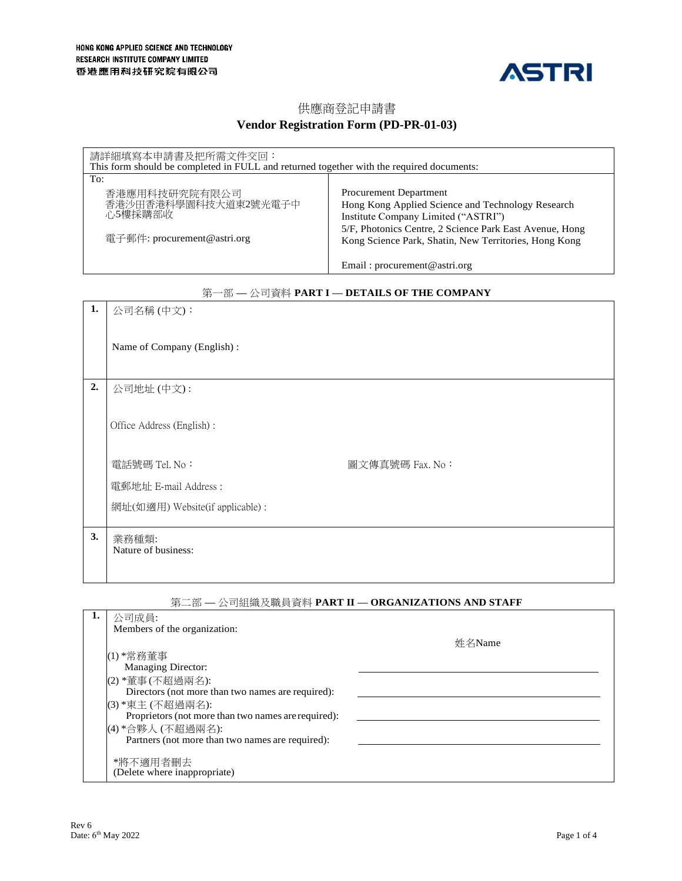

# 供應商登記申請書 **Vendor Registration Form (PD-PR-01-03)**

| 請詳細填寫本申請書及把所需文件交回:<br>This form should be completed in FULL and returned together with the required documents: |                                                                                                                                                                                                                                        |  |  |
|----------------------------------------------------------------------------------------------------------------|----------------------------------------------------------------------------------------------------------------------------------------------------------------------------------------------------------------------------------------|--|--|
| To:                                                                                                            |                                                                                                                                                                                                                                        |  |  |
| 香港應用科技研究院有限公司<br>香港沙田香港科學園科技大道東2號光電子中<br>心5樓採購部收<br>電子郵件: procurement@astri.org                                | Procurement Department<br>Hong Kong Applied Science and Technology Research<br>Institute Company Limited ("ASTRI")<br>5/F, Photonics Centre, 2 Science Park East Avenue, Hong<br>Kong Science Park, Shatin, New Territories, Hong Kong |  |  |
|                                                                                                                | Email: procurement@astri.org                                                                                                                                                                                                           |  |  |

## 第一部 **—** 公司資料 **PART I — DETAILS OF THE COMPANY**

|    | $-1$<br>$-1$                    |                 |
|----|---------------------------------|-----------------|
| 1. | 公司名稱(中文):                       |                 |
|    |                                 |                 |
|    |                                 |                 |
|    | Name of Company (English):      |                 |
|    |                                 |                 |
|    |                                 |                 |
|    |                                 |                 |
| 2. | 公司地址 (中文):                      |                 |
|    |                                 |                 |
|    |                                 |                 |
|    |                                 |                 |
|    | Office Address (English):       |                 |
|    |                                 |                 |
|    |                                 |                 |
|    | 電話號碼 Tel. No:                   | 圖文傳真號碼 Fax. No: |
|    |                                 |                 |
|    | 電郵地址 E-mail Address:            |                 |
|    |                                 |                 |
|    | 網址(如適用) Website(if applicable): |                 |
|    |                                 |                 |
|    |                                 |                 |
| 3. | 業務種類:                           |                 |
|    | Nature of business:             |                 |
|    |                                 |                 |
|    |                                 |                 |
|    |                                 |                 |

# 第二部 **—** 公司組織及職員資料 **PART II — ORGANIZATIONS AND STAFF**

| 公司成員:                                               |        |
|-----------------------------------------------------|--------|
| Members of the organization:                        |        |
|                                                     | 姓名Name |
| (1) *常務董事                                           |        |
| <b>Managing Director:</b>                           |        |
| (2) *董事(不超過兩名):                                     |        |
| Directors (not more than two names are required):   |        |
| (3) *東主 (不超過兩名):                                    |        |
| Proprietors (not more than two names are required): |        |
| (4) *合夥人 (不超過兩名):                                   |        |
| Partners (not more than two names are required):    |        |
| *將不適用者刪去                                            |        |
| (Delete where inappropriate)                        |        |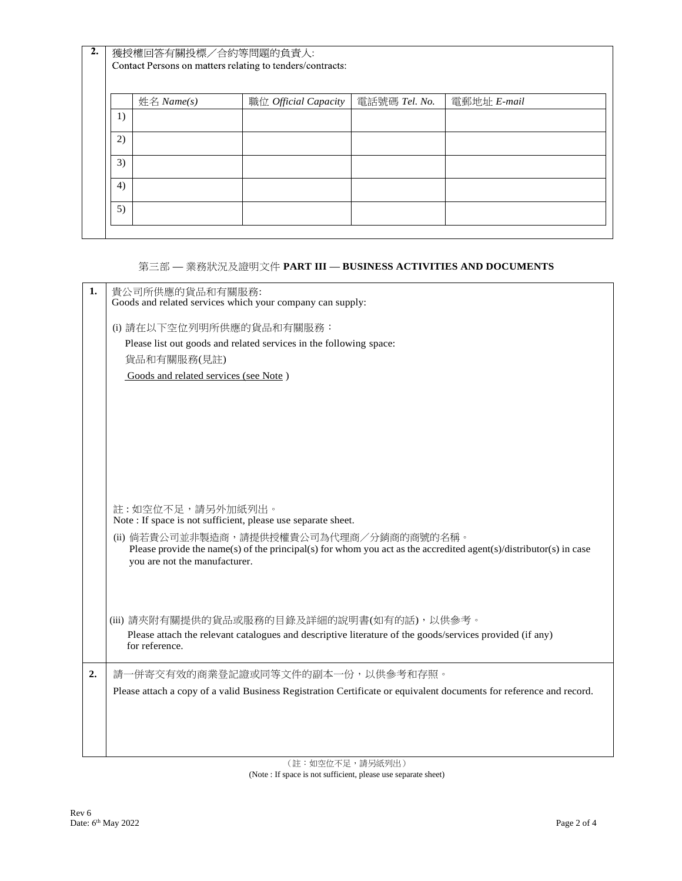| 2. | 獲授權回答有關投標/合約等問題的負責人:                                      |              |                             |               |             |
|----|-----------------------------------------------------------|--------------|-----------------------------|---------------|-------------|
|    | Contact Persons on matters relating to tenders/contracts: |              |                             |               |             |
|    |                                                           |              |                             |               |             |
|    |                                                           | 姓名 $Name(s)$ | 職位 <i>Official Capacity</i> | 電話號碼 Tel. No. | 電郵地址 E-mail |
|    | 1)                                                        |              |                             |               |             |
|    | 2)                                                        |              |                             |               |             |
|    | 3)                                                        |              |                             |               |             |
|    | 4)                                                        |              |                             |               |             |
|    | 5)                                                        |              |                             |               |             |
|    |                                                           |              |                             |               |             |

## 第三部 **—** 業務狀況及證明文件 **PART III — BUSINESS ACTIVITIES AND DOCUMENTS**

| 1. | 貴公司所供應的貨品和有關服務:<br>Goods and related services which your company can supply:                                                                                                                   |  |  |
|----|------------------------------------------------------------------------------------------------------------------------------------------------------------------------------------------------|--|--|
|    | (i) 請在以下空位列明所供應的貨品和有關服務:                                                                                                                                                                       |  |  |
|    | Please list out goods and related services in the following space:                                                                                                                             |  |  |
|    | 貨品和有關服務(見註)                                                                                                                                                                                    |  |  |
|    | Goods and related services (see Note)                                                                                                                                                          |  |  |
|    |                                                                                                                                                                                                |  |  |
|    |                                                                                                                                                                                                |  |  |
|    |                                                                                                                                                                                                |  |  |
|    |                                                                                                                                                                                                |  |  |
|    |                                                                                                                                                                                                |  |  |
|    |                                                                                                                                                                                                |  |  |
|    |                                                                                                                                                                                                |  |  |
|    | 註:如空位不足,請另外加紙列出。<br>Note: If space is not sufficient, please use separate sheet.                                                                                                               |  |  |
|    | (ii) 倘若貴公司並非製造商, 請提供授權貴公司為代理商/分銷商的商號的名稱。<br>Please provide the name(s) of the principal(s) for whom you act as the accredited agent(s)/distributor(s) in case<br>you are not the manufacturer. |  |  |
|    |                                                                                                                                                                                                |  |  |
|    | (iii) 請夾附有關提供的貨品或服務的目錄及詳細的說明書(如有的話), 以供參考。                                                                                                                                                     |  |  |
|    | Please attach the relevant catalogues and descriptive literature of the goods/services provided (if any)                                                                                       |  |  |
|    | for reference.                                                                                                                                                                                 |  |  |
| 2. | 請一併寄交有效的商業登記證或同等文件的副本一份,以供參考和存照。                                                                                                                                                               |  |  |
|    | Please attach a copy of a valid Business Registration Certificate or equivalent documents for reference and record.                                                                            |  |  |
|    |                                                                                                                                                                                                |  |  |
|    |                                                                                                                                                                                                |  |  |
|    |                                                                                                                                                                                                |  |  |
|    |                                                                                                                                                                                                |  |  |

(註:如空位不足,請另紙列出) (Note : If space is not sufficient, please use separate sheet)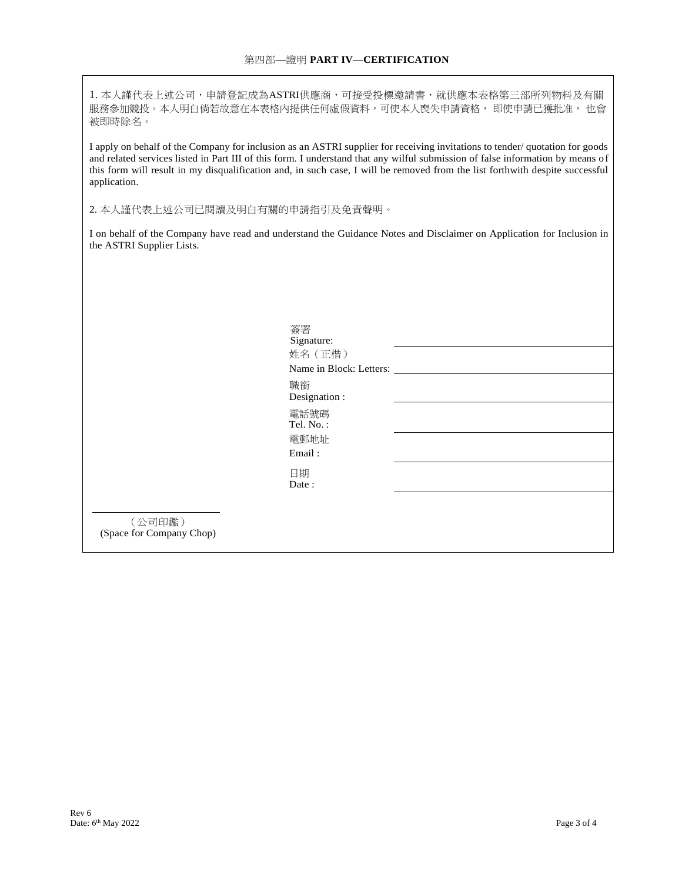1. 本人謹代表上述公司,申請登記成為ASTRI供應商,可接受投標邀請書,就供應本表格第三部所列物料及有關 服務參加競投。本人明白倘若故意在本表格內提供任何虛假資料,可使本人喪失申請資格, 即使申請已獲批准, 也會 被即時除名。

I apply on behalf of the Company for inclusion as an ASTRI supplier for receiving invitations to tender/ quotation for goods and related services listed in Part III of this form. I understand that any wilful submission of false information by means of this form will result in my disqualification and, in such case, I will be removed from the list forthwith despite successful application.

2. 本人謹代表上述公司已閱讀及明白有關的申請指引及免責聲明。

I on behalf of the Company have read and understand the Guidance Notes and Disclaimer on Application for Inclusion in the ASTRI Supplier Lists.

|                                    | 簽署<br>Signature:<br>姓名 (正楷)<br>Name in Block: Letters: |  |
|------------------------------------|--------------------------------------------------------|--|
|                                    | 職銜<br>Designation :                                    |  |
|                                    | 電話號碼<br>Tel. No.:<br>電郵地址<br>Email:                    |  |
|                                    | 日期<br>Date:                                            |  |
| (公司印鑑)<br>(Space for Company Chop) |                                                        |  |